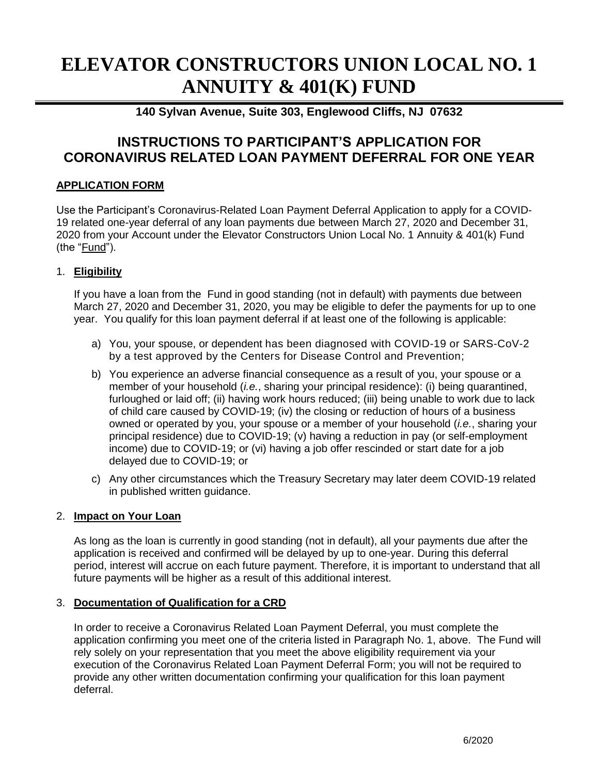# **ELEVATOR CONSTRUCTORS UNION LOCAL NO. 1 ANNUITY & 401(K) FUND**

## **140 Sylvan Avenue, Suite 303, Englewood Cliffs, NJ 07632**

## **INSTRUCTIONS TO PARTICIPANT'S APPLICATION FOR CORONAVIRUS RELATED LOAN PAYMENT DEFERRAL FOR ONE YEAR**

### **APPLICATION FORM**

Use the Participant's Coronavirus-Related Loan Payment Deferral Application to apply for a COVID-19 related one-year deferral of any loan payments due between March 27, 2020 and December 31, 2020 from your Account under the Elevator Constructors Union Local No. 1 Annuity & 401(k) Fund (the "Fund").

#### 1. **Eligibility**

If you have a loan from the Fund in good standing (not in default) with payments due between March 27, 2020 and December 31, 2020, you may be eligible to defer the payments for up to one year. You qualify for this loan payment deferral if at least one of the following is applicable:

- a) You, your spouse, or dependent has been diagnosed with COVID-19 or SARS-CoV-2 by a test approved by the Centers for Disease Control and Prevention;
- b) You experience an adverse financial consequence as a result of you, your spouse or a member of your household (*i.e.*, sharing your principal residence): (i) being quarantined, furloughed or laid off; (ii) having work hours reduced; (iii) being unable to work due to lack of child care caused by COVID-19; (iv) the closing or reduction of hours of a business owned or operated by you, your spouse or a member of your household (*i.e.*, sharing your principal residence) due to COVID-19; (v) having a reduction in pay (or self-employment income) due to COVID-19; or (vi) having a job offer rescinded or start date for a job delayed due to COVID-19; or
- c) Any other circumstances which the Treasury Secretary may later deem COVID-19 related in published written guidance.

#### 2. **Impact on Your Loan**

As long as the loan is currently in good standing (not in default), all your payments due after the application is received and confirmed will be delayed by up to one-year. During this deferral period, interest will accrue on each future payment. Therefore, it is important to understand that all future payments will be higher as a result of this additional interest.

#### 3. **Documentation of Qualification for a CRD**

In order to receive a Coronavirus Related Loan Payment Deferral, you must complete the application confirming you meet one of the criteria listed in Paragraph No. 1, above. The Fund will rely solely on your representation that you meet the above eligibility requirement via your execution of the Coronavirus Related Loan Payment Deferral Form; you will not be required to provide any other written documentation confirming your qualification for this loan payment deferral.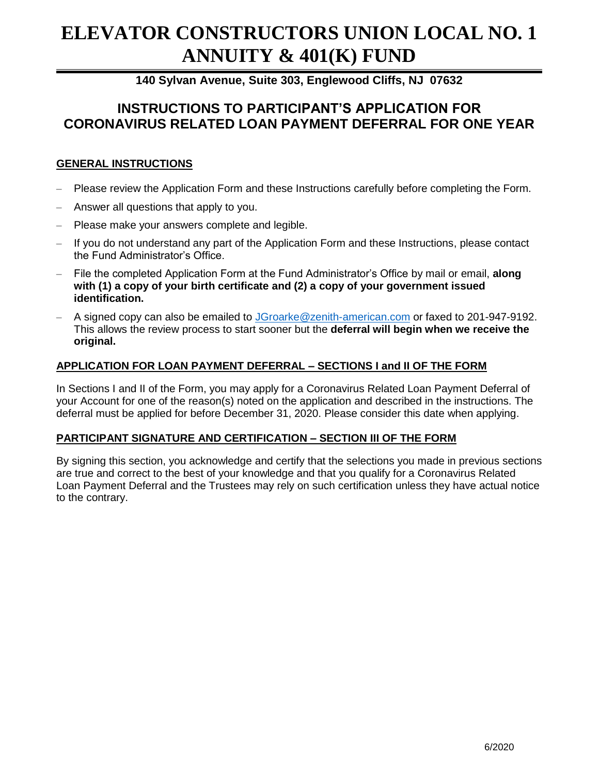# **ELEVATOR CONSTRUCTORS UNION LOCAL NO. 1 ANNUITY & 401(K) FUND**

**140 Sylvan Avenue, Suite 303, Englewood Cliffs, NJ 07632**

## **INSTRUCTIONS TO PARTICIPANT'S APPLICATION FOR CORONAVIRUS RELATED LOAN PAYMENT DEFERRAL FOR ONE YEAR**

### **GENERAL INSTRUCTIONS**

- Please review the Application Form and these Instructions carefully before completing the Form.
- Answer all questions that apply to you.
- Please make your answers complete and legible.
- If you do not understand any part of the Application Form and these Instructions, please contact the Fund Administrator's Office.
- File the completed Application Form at the Fund Administrator's Office by mail or email, **along with (1) a copy of your birth certificate and (2) a copy of your government issued identification.**
- A signed copy can also be emailed to [JGroarke@zenith-american.com](mailto:JGroarke@zenith-american.com) or faxed to 201-947-9192. This allows the review process to start sooner but the **deferral will begin when we receive the original.**

#### **APPLICATION FOR LOAN PAYMENT DEFERRAL – SECTIONS I and II OF THE FORM**

In Sections I and II of the Form, you may apply for a Coronavirus Related Loan Payment Deferral of your Account for one of the reason(s) noted on the application and described in the instructions. The deferral must be applied for before December 31, 2020. Please consider this date when applying.

#### **PARTICIPANT SIGNATURE AND CERTIFICATION – SECTION III OF THE FORM**

By signing this section, you acknowledge and certify that the selections you made in previous sections are true and correct to the best of your knowledge and that you qualify for a Coronavirus Related Loan Payment Deferral and the Trustees may rely on such certification unless they have actual notice to the contrary.